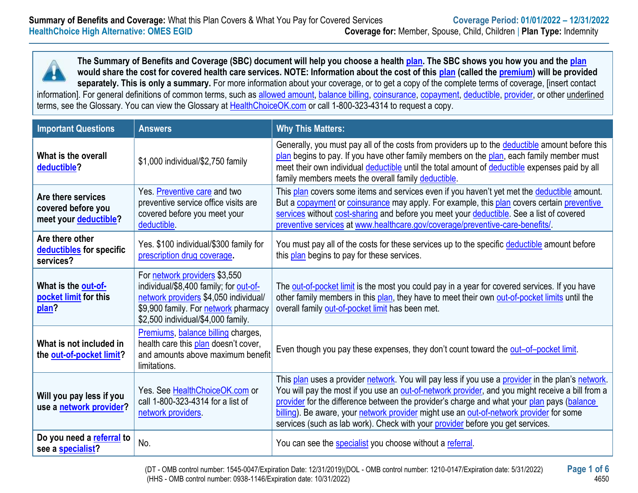**The Summary of Benefits and Coverage (SBC) document will help you choose a health [plan.](https://www.healthcare.gov/sbc-glossary/#plan) The SBC shows you how you and the [plan](https://www.healthcare.gov/sbc-glossary/#plan) would share the cost for covered health care services. NOTE: Information about the cost of this [plan](https://www.healthcare.gov/sbc-glossary/#plan) (called the [premium\)](https://www.healthcare.gov/sbc-glossary/#premium) will be provided separately. This is only a summary.** For more information about your coverage, or to get a copy of the complete terms of coverage, [insert contact information]. For general definitions of common terms, such as [allowed amount,](https://www.healthcare.gov/sbc-glossary/#allowed-amount) [balance billing,](https://www.healthcare.gov/sbc-glossary/#balance-billing) [coinsurance,](https://www.healthcare.gov/sbc-glossary/#coinsurance) [copayment,](https://www.healthcare.gov/sbc-glossary/#copayment) [deductible,](https://www.healthcare.gov/sbc-glossary/#deductible) [provider,](https://www.healthcare.gov/sbc-glossary/#provider) or other underlined terms, see the Glossary. You can view the Glossary at [HealthChoiceOK.com](https://oklahoma.gov/content/dam/ok/en/omes/documents/uniform-glossary-final.pdf) or call 1-800-323-4314 to request a copy.

| <b>Important Questions</b>                                        | <b>Answers</b>                                                                                                                                                                                 | <b>Why This Matters:</b>                                                                                                                                                                                                                                                                                                                                                                                                                                                         |
|-------------------------------------------------------------------|------------------------------------------------------------------------------------------------------------------------------------------------------------------------------------------------|----------------------------------------------------------------------------------------------------------------------------------------------------------------------------------------------------------------------------------------------------------------------------------------------------------------------------------------------------------------------------------------------------------------------------------------------------------------------------------|
| What is the overall<br>deductible?                                | \$1,000 individual/\$2,750 family                                                                                                                                                              | Generally, you must pay all of the costs from providers up to the deductible amount before this<br>plan begins to pay. If you have other family members on the plan, each family member must<br>meet their own individual deductible until the total amount of deductible expenses paid by all<br>family members meets the overall family deductible.                                                                                                                            |
| Are there services<br>covered before you<br>meet your deductible? | Yes. Preventive care and two<br>preventive service office visits are<br>covered before you meet your<br>deductible.                                                                            | This plan covers some items and services even if you haven't yet met the deductible amount.<br>But a copayment or coinsurance may apply. For example, this plan covers certain preventive<br>services without cost-sharing and before you meet your deductible. See a list of covered<br>preventive services at www.healthcare.gov/coverage/preventive-care-benefits/                                                                                                            |
| Are there other<br>deductibles for specific<br>services?          | Yes. \$100 individual/\$300 family for<br>prescription drug coverage.                                                                                                                          | You must pay all of the costs for these services up to the specific deductible amount before<br>this plan begins to pay for these services.                                                                                                                                                                                                                                                                                                                                      |
| What is the out-of-<br>pocket limit for this<br>plan?             | For network providers \$3,550<br>individual/\$8,400 family; for out-of-<br>network providers \$4,050 individual/<br>\$9,900 family. For network pharmacy<br>\$2,500 individual/\$4,000 family. | The out-of-pocket limit is the most you could pay in a year for covered services. If you have<br>other family members in this plan, they have to meet their own out-of-pocket limits until the<br>overall family out-of-pocket limit has been met.                                                                                                                                                                                                                               |
| What is not included in<br>the out-of-pocket limit?               | Premiums, balance billing charges,<br>health care this plan doesn't cover,<br>and amounts above maximum benefit<br>limitations.                                                                | Even though you pay these expenses, they don't count toward the out-of-pocket limit.                                                                                                                                                                                                                                                                                                                                                                                             |
| Will you pay less if you<br>use a network provider?               | Yes. See HealthChoiceOK.com or<br>call 1-800-323-4314 for a list of<br>network providers                                                                                                       | This plan uses a provider network. You will pay less if you use a provider in the plan's network.<br>You will pay the most if you use an out-of-network provider, and you might receive a bill from a<br>provider for the difference between the provider's charge and what your plan pays (balance<br>billing). Be aware, your network provider might use an out-of-network provider for some<br>services (such as lab work). Check with your provider before you get services. |
| Do you need a referral to<br>see a specialist?                    | No.                                                                                                                                                                                            | You can see the specialist you choose without a referral.                                                                                                                                                                                                                                                                                                                                                                                                                        |

(DT - OMB control number: 1545-0047/Expiration Date: 12/31/2019)(DOL - OMB control number: 1210-0147/Expiration date: 5/31/2022) **Page 1 of 6** (HHS - OMB control number: 0938-1146/Expiration date: 10/31/2022) 4650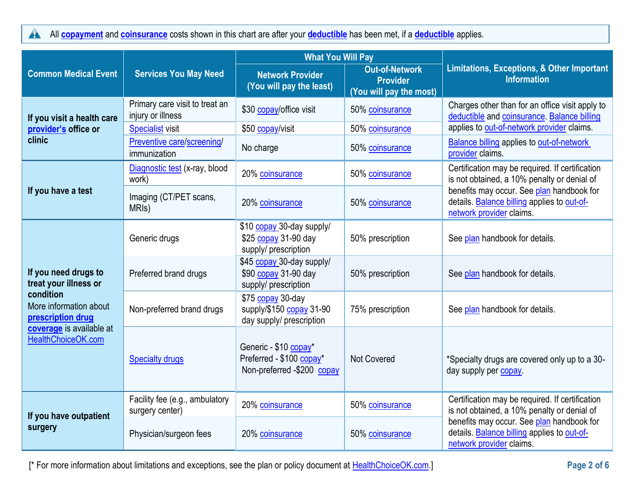All **[copayment](https://www.healthcare.gov/sbc-glossary/#copayment)** and **[coinsurance](https://www.healthcare.gov/sbc-glossary/#coinsurance)** costs shown in this chart are after your **[deductible](https://www.healthcare.gov/sbc-glossary/#deductible)** has been met, if a **[deductible](https://www.healthcare.gov/sbc-glossary/#deductible)** applies.  $\blacktriangle$ 

|                                                          |                                                     | <b>What You Will Pay</b>                                                        |                                                                     |                                                                                                                      |  |
|----------------------------------------------------------|-----------------------------------------------------|---------------------------------------------------------------------------------|---------------------------------------------------------------------|----------------------------------------------------------------------------------------------------------------------|--|
| <b>Common Medical Event</b>                              | <b>Services You May Need</b>                        | <b>Network Provider</b><br>(You will pay the least)                             | <b>Out-of-Network</b><br><b>Provider</b><br>(You will pay the most) | <b>Limitations, Exceptions, &amp; Other Important</b><br><b>Information</b>                                          |  |
| If you visit a health care                               | Primary care visit to treat an<br>injury or illness | \$30 copay/office visit                                                         | 50% coinsurance                                                     | Charges other than for an office visit apply to<br>deductible and coinsurance. Balance billing                       |  |
| provider's office or                                     | <b>Specialist visit</b>                             | \$50 copay/visit                                                                | 50% coinsurance                                                     | applies to out-of-network provider claims.                                                                           |  |
| clinic                                                   | Preventive care/screening/<br>immunization          | No charge                                                                       | 50% coinsurance                                                     | <b>Balance billing applies to out-of-network</b><br>provider claims.                                                 |  |
|                                                          | Diagnostic test (x-ray, blood<br>work)              | 20% coinsurance                                                                 | 50% coinsurance                                                     | Certification may be required. If certification<br>is not obtained, a 10% penalty or denial of                       |  |
| If you have a test                                       | Imaging (CT/PET scans,<br>MRI <sub>s</sub> )        | 20% coinsurance                                                                 | 50% coinsurance                                                     | benefits may occur. See plan handbook for<br>details. Balance billing applies to out-of-<br>network provider claims. |  |
|                                                          | Generic drugs                                       | \$10 copay 30-day supply/<br>\$25 copay 31-90 day<br>supply/ prescription       | 50% prescription                                                    | See plan handbook for details.                                                                                       |  |
| If you need drugs to<br>treat your illness or            | Preferred brand drugs                               | \$45 copay 30-day supply/<br>\$90 copay 31-90 day<br>supply/ prescription       | 50% prescription                                                    | See plan handbook for details.                                                                                       |  |
| condition<br>More information about<br>prescription drug | Non-preferred brand drugs                           | \$75 copay 30-day<br>supply/\$150 copay 31-90<br>day supply/ prescription       | 75% prescription                                                    | See plan handbook for details.                                                                                       |  |
| coverage is available at<br>HealthChoiceOK.com           | <b>Specialty drugs</b>                              | Generic - \$10 copay*<br>Preferred - \$100 copay*<br>Non-preferred -\$200 copay | Not Covered                                                         | *Specialty drugs are covered only up to a 30-<br>day supply per copay                                                |  |
| If you have outpatient                                   | Facility fee (e.g., ambulatory<br>surgery center)   | 20% coinsurance                                                                 | 50% coinsurance                                                     | Certification may be required. If certification<br>is not obtained, a 10% penalty or denial of                       |  |
| surgery                                                  | Physician/surgeon fees                              | 20% coinsurance                                                                 | 50% coinsurance                                                     | benefits may occur. See plan handbook for<br>details. Balance billing applies to out-of-<br>network provider claims. |  |

[\* For more information about limitations and exceptions, see the plan or policy document at [HealthChoiceOK.com.](https://oklahoma.gov/healthchoice.html)] **Page 2 of 6**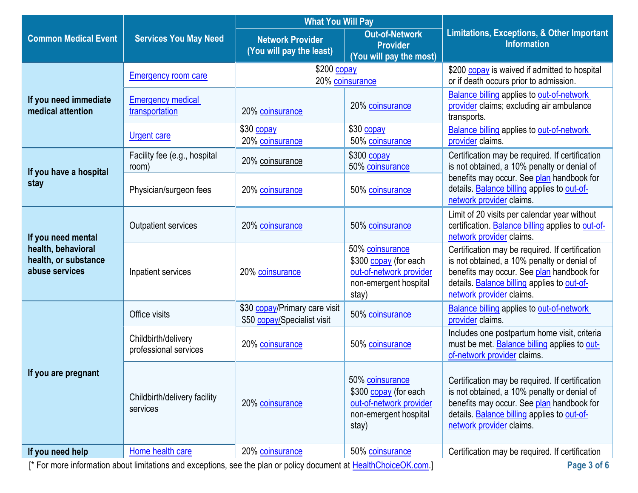|                                                              |                                                                                                                   | <b>What You Will Pay</b>                                     |                                                                                                       |                                                                                                                                                                                                                        |
|--------------------------------------------------------------|-------------------------------------------------------------------------------------------------------------------|--------------------------------------------------------------|-------------------------------------------------------------------------------------------------------|------------------------------------------------------------------------------------------------------------------------------------------------------------------------------------------------------------------------|
| <b>Common Medical Event</b>                                  | <b>Services You May Need</b>                                                                                      | <b>Network Provider</b><br>(You will pay the least)          | <b>Out-of-Network</b><br><b>Provider</b><br>(You will pay the most)                                   | <b>Limitations, Exceptions, &amp; Other Important</b><br><b>Information</b>                                                                                                                                            |
|                                                              | <b>Emergency room care</b>                                                                                        | \$200 copay<br>20% coinsurance                               |                                                                                                       | \$200 copay is waived if admitted to hospital<br>or if death occurs prior to admission.                                                                                                                                |
| If you need immediate<br>medical attention                   | <b>Emergency medical</b><br>transportation                                                                        | 20% coinsurance                                              | 20% coinsurance                                                                                       | <b>Balance billing applies to out-of-network</b><br>provider claims; excluding air ambulance<br>transports.                                                                                                            |
|                                                              | <b>Urgent care</b>                                                                                                | \$30 copay<br>20% coinsurance                                | \$30 copay<br>50% coinsurance                                                                         | <b>Balance billing applies to out-of-network</b><br>provider claims.                                                                                                                                                   |
| If you have a hospital                                       | Facility fee (e.g., hospital<br>room)                                                                             | 20% coinsurance                                              | \$300 copay<br>50% coinsurance                                                                        | Certification may be required. If certification<br>is not obtained, a 10% penalty or denial of                                                                                                                         |
| stay                                                         | Physician/surgeon fees                                                                                            | 20% coinsurance                                              | 50% coinsurance                                                                                       | benefits may occur. See plan handbook for<br>details. Balance billing applies to out-of-<br>network provider claims.                                                                                                   |
| If you need mental                                           | <b>Outpatient services</b>                                                                                        | 20% coinsurance                                              | 50% coinsurance                                                                                       | Limit of 20 visits per calendar year without<br>certification. <b>Balance billing</b> applies to out-of-<br>network provider claims.                                                                                   |
| health, behavioral<br>health, or substance<br>abuse services | Inpatient services                                                                                                | 20% coinsurance                                              | 50% coinsurance<br>\$300 copay (for each<br>out-of-network provider<br>non-emergent hospital<br>stay) | Certification may be required. If certification<br>is not obtained, a 10% penalty or denial of<br>benefits may occur. See plan handbook for<br>details. Balance billing applies to out-of-<br>network provider claims. |
|                                                              | Office visits                                                                                                     | \$30 copay/Primary care visit<br>\$50 copay/Specialist visit | 50% coinsurance                                                                                       | <b>Balance billing applies to out-of-network</b><br>provider claims.                                                                                                                                                   |
|                                                              | Childbirth/delivery<br>professional services                                                                      | 20% coinsurance                                              | 50% coinsurance                                                                                       | Includes one postpartum home visit, criteria<br>must be met. Balance billing applies to out-<br>of-network provider claims.                                                                                            |
| If you are pregnant                                          | Childbirth/delivery facility<br>services                                                                          | 20% coinsurance                                              | 50% coinsurance<br>\$300 copay (for each<br>out-of-network provider<br>non-emergent hospital<br>stay) | Certification may be required. If certification<br>is not obtained, a 10% penalty or denial of<br>benefits may occur. See plan handbook for<br>details. Balance billing applies to out-of-<br>network provider claims. |
| If you need help                                             | Home health care                                                                                                  | 20% coinsurance                                              | 50% coinsurance                                                                                       | Certification may be required. If certification                                                                                                                                                                        |
|                                                              | [* For more information about limitations and exceptions, see the plan or policy document at HealthChoiceOK.com.] |                                                              |                                                                                                       | Page 3 of 6                                                                                                                                                                                                            |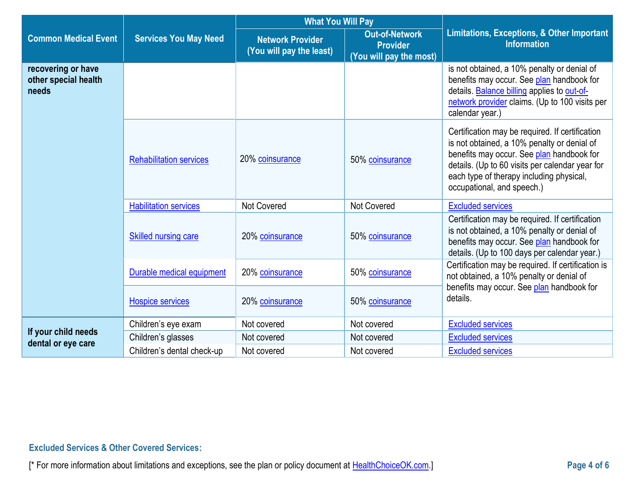|                                                     |                                | <b>What You Will Pay</b>                            |                                                                     |                                                                                                                                                                                                                                                                          |  |
|-----------------------------------------------------|--------------------------------|-----------------------------------------------------|---------------------------------------------------------------------|--------------------------------------------------------------------------------------------------------------------------------------------------------------------------------------------------------------------------------------------------------------------------|--|
| <b>Common Medical Event</b>                         | <b>Services You May Need</b>   | <b>Network Provider</b><br>(You will pay the least) | <b>Out-of-Network</b><br><b>Provider</b><br>(You will pay the most) | <b>Limitations, Exceptions, &amp; Other Important</b><br><b>Information</b>                                                                                                                                                                                              |  |
| recovering or have<br>other special health<br>needs |                                |                                                     |                                                                     | is not obtained, a 10% penalty or denial of<br>benefits may occur. See plan handbook for<br>details. Balance billing applies to out-of-<br>network provider claims. (Up to 100 visits per<br>calendar year.)                                                             |  |
|                                                     | <b>Rehabilitation services</b> | 20% coinsurance                                     | 50% coinsurance                                                     | Certification may be required. If certification<br>is not obtained, a 10% penalty or denial of<br>benefits may occur. See plan handbook for<br>details. (Up to 60 visits per calendar year for<br>each type of therapy including physical,<br>occupational, and speech.) |  |
|                                                     | <b>Habilitation services</b>   | <b>Not Covered</b>                                  | Not Covered                                                         | <b>Excluded services</b>                                                                                                                                                                                                                                                 |  |
|                                                     | <b>Skilled nursing care</b>    | 20% coinsurance                                     | 50% coinsurance                                                     | Certification may be required. If certification<br>is not obtained, a 10% penalty or denial of<br>benefits may occur. See plan handbook for<br>details. (Up to 100 days per calendar year.)                                                                              |  |
|                                                     | Durable medical equipment      | 20% coinsurance                                     | 50% coinsurance                                                     | Certification may be required. If certification is<br>not obtained, a 10% penalty or denial of                                                                                                                                                                           |  |
|                                                     | <b>Hospice services</b>        | 20% coinsurance                                     | 50% coinsurance                                                     | benefits may occur. See plan handbook for<br>details.                                                                                                                                                                                                                    |  |
|                                                     | Children's eye exam            | Not covered                                         | Not covered                                                         | <b>Excluded services</b>                                                                                                                                                                                                                                                 |  |
| If your child needs<br>dental or eye care           | Children's glasses             | Not covered                                         | Not covered                                                         | <b>Excluded services</b>                                                                                                                                                                                                                                                 |  |
|                                                     | Children's dental check-up     | Not covered                                         | Not covered                                                         | <b>Excluded services</b>                                                                                                                                                                                                                                                 |  |

# **Excluded Services & Other Covered Services:**

[\* For more information about limitations and exceptions, see the plan or policy document at [HealthChoiceOK.com.](https://oklahoma.gov/healthchoice.html)] **Page 4 of 6**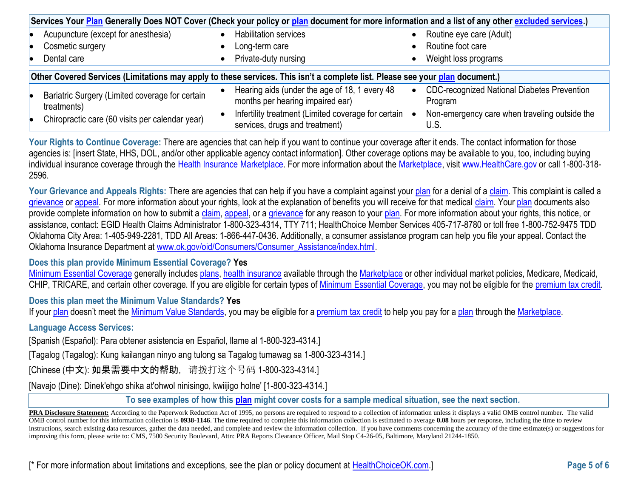| Services Your Plan Generally Does NOT Cover (Check your policy or plan document for more information and a list of any other excluded services.) |  |                                                                                       |  |                                                          |
|--------------------------------------------------------------------------------------------------------------------------------------------------|--|---------------------------------------------------------------------------------------|--|----------------------------------------------------------|
| Acupuncture (except for anesthesia)                                                                                                              |  | <b>Habilitation services</b>                                                          |  | Routine eye care (Adult)                                 |
| Cosmetic surgery                                                                                                                                 |  | Long-term care                                                                        |  | Routine foot care                                        |
| Dental care                                                                                                                                      |  | Private-duty nursing                                                                  |  | Weight loss programs                                     |
|                                                                                                                                                  |  |                                                                                       |  |                                                          |
| Other Covered Services (Limitations may apply to these services. This isn't a complete list. Please see your plan document.)                     |  |                                                                                       |  |                                                          |
| Bariatric Surgery (Limited coverage for certain<br>treatments)                                                                                   |  | Hearing aids (under the age of 18, 1 every 48<br>months per hearing impaired ear)     |  | • CDC-recognized National Diabetes Prevention<br>Program |
| Chiropractic care (60 visits per calendar year)                                                                                                  |  | Infertility treatment (Limited coverage for certain<br>services, drugs and treatment) |  | Non-emergency care when traveling outside the<br>U.S.    |

Your Rights to Continue Coverage: There are agencies that can help if you want to continue your coverage after it ends. The contact information for those agencies is: [insert State, HHS, DOL, and/or other applicable agency contact information]. Other coverage options may be available to you, too, including buying individual insurance coverage through the [Health Insurance](https://www.healthcare.gov/sbc-glossary/#health-insurance) [Marketplace.](https://www.healthcare.gov/sbc-glossary/#marketplace) For more information about the [Marketplace,](https://www.healthcare.gov/sbc-glossary/#marketplace) visi[t www.HealthCare.gov](http://www.healthcare.gov/) or call 1-800-318-2596.

**Your Grievance and Appeals Rights:** There are agencies that can help if you have a complaint against your [plan](https://www.healthcare.gov/sbc-glossary/#plan) for a denial of [a claim.](https://www.healthcare.gov/sbc-glossary/#claim) This complaint is called a [grievance](https://www.healthcare.gov/sbc-glossary/#grievance) or [appeal.](https://www.healthcare.gov/sbc-glossary/#appeal) For more information about your rights, look at the explanation of benefits you will receive for that medical [claim.](https://www.healthcare.gov/sbc-glossary/#claim) You[r plan](https://www.healthcare.gov/sbc-glossary/#plan) documents also provide complete information on how to submit a [claim,](https://www.healthcare.gov/sbc-glossary/#claim) [appeal,](https://www.healthcare.gov/sbc-glossary/#appeal) or a [grievance](https://www.healthcare.gov/sbc-glossary/#grievance) for any reason to your [plan.](https://www.healthcare.gov/sbc-glossary/#plan) For more information about your rights, this notice, or assistance, contact: EGID Health Claims Administrator 1-800-323-4314, TTY 711; HealthChoice Member Services 405-717-8780 or toll free 1-800-752-9475 TDD Oklahoma City Area: 1-405-949-2281, TDD All Areas: 1-866-447-0436. Additionally, a consumer assistance program can help you file your appeal. Contact the Oklahoma Insurance Department at [www.ok.gov/oid/Consumers/Consumer\\_Assistance/index.html.](http://www.ok.gov/oid/Consumers/Consumer_Assistance/index.html)

## **Does this plan provide Minimum Essential Coverage? Yes**

[Minimum Essential Coverage](https://www.healthcare.gov/sbc-glossary/#minimum-essential-coverage) generally includes [plans,](https://www.healthcare.gov/sbc-glossary/#plan) [health insurance](https://www.healthcare.gov/sbc-glossary/#health-insurance) available through the [Marketplace](https://www.healthcare.gov/sbc-glossary/#marketplace) or other individual market policies, Medicare, Medicaid, CHIP, TRICARE, and certain other coverage. If you are eligible for certain types of [Minimum Essential Coverage,](https://www.healthcare.gov/sbc-glossary/#minimum-essential-coverage) you may not be eligible for the [premium tax credit.](https://www.healthcare.gov/sbc-glossary/#premium-tax-credits)

## **Does this plan meet the Minimum Value Standards? Yes**

If your [plan](https://www.healthcare.gov/sbc-glossary/#plan) doesn't meet the [Minimum Value Standards,](https://www.healthcare.gov/sbc-glossary/#minimum-value-standard) you may be eligible for a [premium tax credit](https://www.healthcare.gov/sbc-glossary/#premium-tax-credits) to help you pay for a plan through the [Marketplace.](https://www.healthcare.gov/sbc-glossary/#marketplace)

## **Language Access Services:**

[Spanish (Español): Para obtener asistencia en Español, llame al 1-800-323-4314.]

[Tagalog (Tagalog): Kung kailangan ninyo ang tulong sa Tagalog tumawag sa 1-800-323-4314.]

[Chinese (中文): 如果需要中文的帮助, 请拨打这个号码 1-800-323-4314.]

[Navajo (Dine): Dinek'ehgo shika at'ohwol ninisingo, kwiijigo holne' [1-800-323-4314.]

**To see examples of how this [plan](https://www.healthcare.gov/sbc-glossary/#plan) might cover costs for a sample medical situation, see the next section***.*

**PRA Disclosure Statement:** According to the Paperwork Reduction Act of 1995, no persons are required to respond to a collection of information unless it displays a valid OMB control number. The valid OMB control number for this information collection is **0938-1146**. The time required to complete this information collection is estimated to average **0.08** hours per response, including the time to review instructions, search existing data resources, gather the data needed, and complete and review the information collection. If you have comments concerning the accuracy of the time estimate(s) or suggestions for improving this form, please write to: CMS, 7500 Security Boulevard, Attn: PRA Reports Clearance Officer, Mail Stop C4-26-05, Baltimore, Maryland 21244-1850.